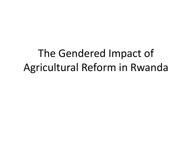# The Gendered Impact of Agricultural Reform in Rwanda

13SEOOVBMSFTFBSDI\$OGFSFODF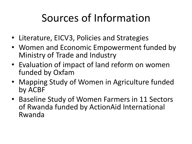### Sources of Information

- Literature, EICV3, Policies and Strategies
- Women and Economic Empowerment funded by Ministry of Trade and Industry
- Evaluation of impact of land reform on women funded by Oxfam
- Mapping Study of Women in Agriculture funded by ACBF
- Baseline Study of Women Farmers in 11 Sectors of Rwanda funded by ActionAid International Rwanda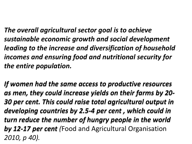*The overall agricultural sector goal is to achieve sustainable economic growth and social development leading to the increase and diversification of household incomes and ensuring food and nutritional security for the entire population.* 

*If women had the same access to productive resources as men, they could increase yields on their farms by 20- 30 per cent. This could raise total agricultural output in developing countries by 2.5-4 per cent , which could in turn reduce the number of hungry people in the world by 12-17 per cent (*Food and Agricultural Organisation *2010, p 40).*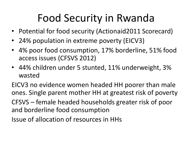# Food Security in Rwanda

- Potential for food security (Actionaid2011 Scorecard)
- 24% population in extreme poverty (EICV3)
- 4% poor food consumption, 17% borderline, 51% food access issues (CFSVS 2012)
- 44% children under 5 stunted, 11% underweight, 3% wasted

EICV3 no evidence women headed HH poorer than male ones. Single parent mother HH at greatest risk of poverty CFSVS – female headed households greater risk of poor and borderline food consumption

Issue of allocation of resources in HHs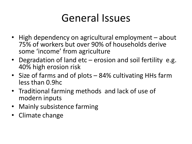#### General Issues

- High dependency on agricultural employment about 75% of workers but over 90% of households derive some 'income' from agriculture
- Degradation of land etc erosion and soil fertility e.g. 40% high erosion risk
- Size of farms and of plots 84% cultivating HHs farm less than 0.9hc
- Traditional farming methods and lack of use of modern inputs
- Mainly subsistence farming
- Climate change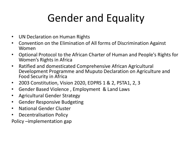# Gender and Equality

- UN Declaration on Human Rights
- Convention on the Elimination of All forms of Discrimination Against Women
- Optional Protocol to the African Charter of Human and People's Rights for Women's Rights in Africa
- Ratified and domesticated Comprehensive African Agricultural Development Programme and Muputo Declaration on Agriculture and Food Security in Africa
- 2003 Constitution, Vision 2020, EDPRS 1 & 2, PSTA1, 2, 3
- Gender Based Violence , Employment & Land Laws
- Agricultural Gender Strategy
- Gender Responsive Budgeting
- National Gender Cluster
- Decentralisation Policy

Policy –implementation gap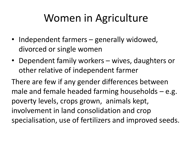#### Women in Agriculture

- Independent farmers generally widowed, divorced or single women
- Dependent family workers wives, daughters or other relative of independent farmer

There are few if any gender differences between male and female headed farming households – e.g. poverty levels, crops grown, animals kept, involvement in land consolidation and crop specialisation, use of fertilizers and improved seeds.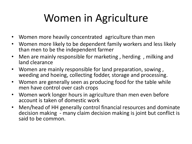# Women in Agriculture

- Women more heavily concentrated agriculture than men
- Women more likely to be dependent family workers and less likely than men to be the independent farmer
- Men are mainly responsible for marketing, herding, milking and land clearance
- Women are mainly responsible for land preparation, sowing , weeding and hoeing, collecting fodder, storage and processing.
- Women are generally seen as producing food for the table while men have control over cash crops
- Women work longer hours in agriculture than men even before account is taken of domestic work
- Men/head of HH generally control financial resources and dominate decision making - many claim decision making is joint but conflict is said to be common.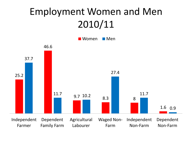#### Employment Women and Men 2010/11

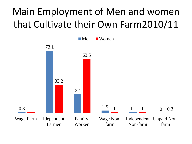#### Main Employment of Men and women that Cultivate their Own Farm2010/11

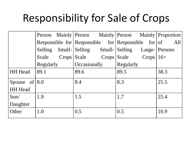### Responsibility for Sale of Crops

|                  |           |  |                               |  |                          |  | Person Mainly Person Mainly Person Mainly Proportion         |
|------------------|-----------|--|-------------------------------|--|--------------------------|--|--------------------------------------------------------------|
|                  |           |  |                               |  |                          |  | Responsible for Responsible for Responsible for $\sigma$ all |
|                  |           |  | Selling Small- Selling Small- |  | Selling Large-   Persons |  |                                                              |
|                  | Scale     |  | Crops Scale Crops             |  | Scale $Crops   16+$      |  |                                                              |
|                  | Regularly |  | Occasionally                  |  | Regularly                |  |                                                              |
| <b>HH</b> Head   | 89.1      |  | 89.6                          |  | 89.5                     |  | 38.3                                                         |
| Spouse of $ 8.0$ |           |  | 8.4                           |  | 8.3                      |  | 25.5                                                         |
| <b>HH</b> Head   |           |  |                               |  |                          |  |                                                              |
| $S$ on/          | 1.9       |  | 1.5                           |  | 1.7                      |  | 25.4                                                         |
| Daughter         |           |  |                               |  |                          |  |                                                              |
| Other            | 1.0       |  | 0.5                           |  | 0.5                      |  | 10.9                                                         |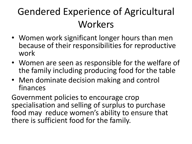#### Gendered Experience of Agricultural Workers

- Women work significant longer hours than men because of their responsibilities for reproductive work
- Women are seen as responsible for the welfare of the family including producing food for the table
- Men dominate decision making and control finances

Government policies to encourage crop specialisation and selling of surplus to purchase food may reduce women's ability to ensure that there is sufficient food for the family.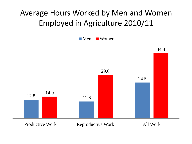#### Average Hours Worked by Men and Women Employed in Agriculture 2010/11

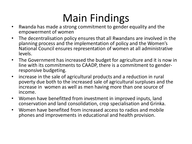### Main Findings

- Rwanda has made a strong commitment to gender equality and the empowerment of women
- The decentralisation policy ensures that all Rwandans are involved in the planning process and the implementation of policy and the Women's National Council ensures representation of women at all administrative levels.
- The Government has increased the budget for agriculture and it is now in line with its commitments to CAADP, there is a commitment to genderresponsive budgeting.
- increase in the sale of agricultural products and a reduction in rural poverty due both to the increased sale of agricultural surpluses and the increase in women as well as men having more than one source of income.
- Women have benefitted from investment in improved inputs, land conservation and land consolidation, crop specialisation and Grinka.
- Women have benefited from increased access to radios and mobile phones and improvements in educational and health provision.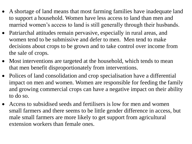- A shortage of land means that most farming families have inadequate land to support a household. Women have less access to land than men and married women's access to land is still generally through their husbands.
- Patriarchal attitudes remain pervasive, especially in rural areas, and women tend to be submissive and defer to men. Men tend to make decisions about crops to be grown and to take control over income from the sale of crops.
- Most interventions are targeted at the household, which tends to mean that men benefit disproportionately from interventions.
- Polices of land consolidation and crop specialisation have a differential impact on men and women. Women are responsible for feeding the family and growing commercial crops can have a negative impact on their ability to do so.
- Access to subsidised seeds and fertilisers is low for men and women small farmers and there seems to be little gender difference in access, but male small farmers are more likely to get support from agricultural extension workers than female ones.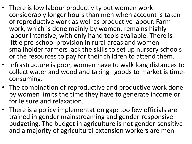- There is low labour productivity but women work considerably longer hours than men when account is taken of reproductive work as well as productive labour. Farm work, which is done mainly by women, remains highly labour intensive, with only hand tools available. There is little pre-school provision in rural areas and women smallholder farmers lack the skills to set up nursery schools or the resources to pay for their children to attend them.
- Infrastructure is poor, women have to walk long distances to collect water and wood and taking goods to market is timeconsuming.
- The combination of reproductive and productive work done by women limits the time they have to generate income or for leisure and relaxation.
- There is a policy implementation gap; too few officials are trained in gender mainstreaming and gender-responsive budgeting. The budget in agriculture is not gender-sensitive and a majority of agricultural extension workers are men.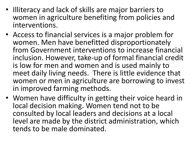- Illiteracy and lack of skills are major barriers to women in agriculture benefiting from policies and interventions.
- Access to financial services is a major problem for women. Men have benefitted disproportionately from Government interventions to increase financial inclusion. However, take-up of formal financial credit is low for men and women and is used mainly to meet daily living needs. There is little evidence that women or men in agriculture are borrowing to invest in improved farming methods.
- Women have difficulty in getting their voice heard in local decision making. Women tend not to be consulted by local leaders and decisions at a local level are made by the district administration, which tends to be male dominated.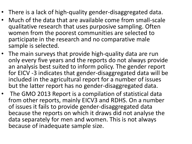- There is a lack of high-quality gender-disaggregated data.
- Much of the data that are available come from small-scale qualitative research that uses purposive sampling. Often women from the poorest communities are selected to participate in the research and no comparative male sample is selected.
- The main surveys that provide high-quality data are run only every five years and the reports do not always provide an analysis best suited to inform policy. The gender report for EICV -3 indicates that gender-disaggregated data will be included in the agricultural report for a number of issues but the latter report has no gender-disaggregated data.
- The GMO 2013 Report is a compilation of statistical data from other reports, mainly EICV3 and RDHS. On a number of issues it fails to provide gender-disaggregated data because the reports on which it draws did not analyse the data separately for men and women. This is not always because of inadequate sample size.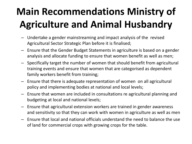## **Main Recommendations Ministry of Agriculture and Animal Husbandry**

- Undertake a gender mainstreaming and impact analysis of the revised Agricultural Sector Strategic Plan before it is finalised;
- Ensure that the Gender Budget Statements in agriculture is based on a gender analysis and allocate funding to ensure that women benefit as well as men;
- Specifically target the number of women that should benefit from agricultural training events and ensure that women that are categorised as dependent family workers benefit from training;
- Ensure that there is adequate representation of women on all agricultural policy and implementing bodies at national and local levels;
- Ensure that women are included in consultations re agricultural planning and budgeting at local and national levels;
- Ensure that agricultural extension workers are trained in gender awareness and sensitivity so that they can work with women in agriculture as well as men
- Ensure that local and national officials understand the need to balance the use of land for commercial crops with growing crops for the table.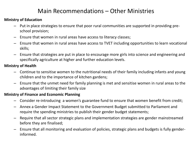#### Main Recommendations – Other Ministries

#### **Ministry of Education**

- Put in place strategies to ensure that poor rural communities are supported in providing preschool provision;
- Ensure that women in rural areas have access to literacy classes;
- Ensure that women in rural areas have access to TVET including opportunities to learn vocational skills;
- Ensure that strategies are put in place to encourage more girls into science and engineering and specifically agriculture at higher and further education levels.

#### **Ministry of Health**

- Continue to sensitise women to the nutritional needs of their family including infants and young children and to the importance of kitchen gardens;
- Ensure that the unmet need for family planning is met and sensitise women in rural areas to the advantages of limiting their family size

#### **Ministry of Finance and Economic Planning**

- Consider re-introducing a women's guarantee fund to ensure that women benefit from credit;
- Annex a Gender Impact Statement to the Government Budget submitted to Parliament and require the spending ministries to publish their gender budget statements;
- Require that all sector strategic plans and implementation strategies are gender mainstreamed before they are finalised;
- Ensure that all monitoring and evaluation of policies, strategic plans and budgets is fully genderinformed.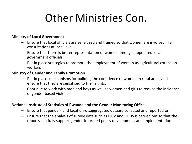# Other Ministries Con.

#### **Ministry of Local Government**

- Ensure that local officials are sensitised and trained so that women are involved in all consultations at local level;
- Ensure that there is better representation of women amongst appointed local government officials;
- Put in place strategies to promote the employment of women as agricultural extension workers

#### **Ministry of Gender and Family Promotion**

- Put in place mechanisms for building the confidence of women in rural areas and ensure that they are sensitised to their rights;
- Continue to work with men and boys as well as women and girls to reduce the incidence of gender based violence.

#### **National Institute of Statistics of Rwanda and the Gender Monitoring Office**

- Ensure that gender- and location-disaggregated dataare collected and reported on;
- Ensure that the analysis of survey data such as EICV and RDHS is carried out so that the reports can fully support gender-informed policy development and implementation.